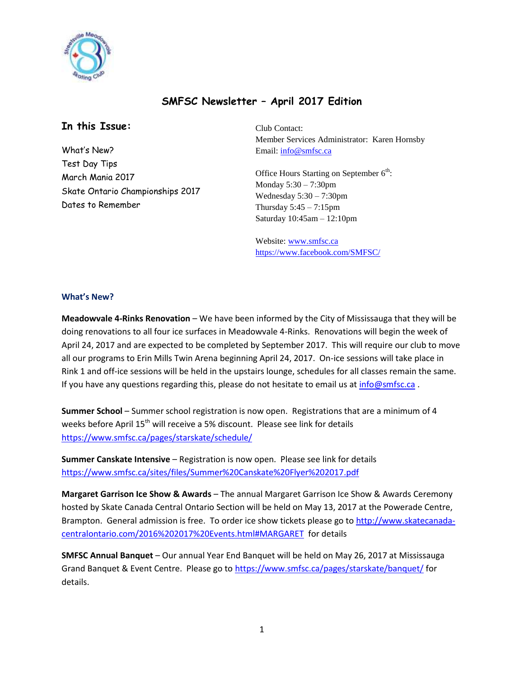

## **SMFSC Newsletter – April 2017 Edition**

### **In this Issue:**

What's New? Test Day Tips March Mania 2017 Skate Ontario Championships 2017 Dates to Remember

Club Contact: Member Services Administrator: Karen Hornsby Email: [info@smfsc.ca](mailto:info@smfsc.ca)

Office Hours Starting on September  $6<sup>th</sup>$ : Monday 5:30 – 7:30pm Wednesday 5:30 – 7:30pm Thursday  $5:45 - 7:15$ pm Saturday 10:45am – 12:10pm

Website[: www.smfsc.ca](http://www.smfsc.ca/) <https://www.facebook.com/SMFSC/>

#### **What's New?**

**Meadowvale 4-Rinks Renovation** – We have been informed by the City of Mississauga that they will be doing renovations to all four ice surfaces in Meadowvale 4-Rinks. Renovations will begin the week of April 24, 2017 and are expected to be completed by September 2017. This will require our club to move all our programs to Erin Mills Twin Arena beginning April 24, 2017. On-ice sessions will take place in Rink 1 and off-ice sessions will be held in the upstairs lounge, schedules for all classes remain the same. If you have any questions regarding this, please do not hesitate to email us at [info@smfsc.ca](mailto:info@smfsc.ca).

**Summer School** – Summer school registration is now open. Registrations that are a minimum of 4 weeks before April 15<sup>th</sup> will receive a 5% discount. Please see link for details <https://www.smfsc.ca/pages/starskate/schedule/>

**Summer Canskate Intensive** – Registration is now open. Please see link for details <https://www.smfsc.ca/sites/files/Summer%20Canskate%20Flyer%202017.pdf>

**Margaret Garrison Ice Show & Awards** – The annual Margaret Garrison Ice Show & Awards Ceremony hosted by Skate Canada Central Ontario Section will be held on May 13, 2017 at the Powerade Centre, Brampton. General admission is free. To order ice show tickets please go to [http://www.skatecanada](http://www.skatecanada-centralontario.com/2016%202017%20Events.html#MARGARET)[centralontario.com/2016%202017%20Events.html#MARGARET](http://www.skatecanada-centralontario.com/2016%202017%20Events.html#MARGARET) for details

**SMFSC Annual Banquet** – Our annual Year End Banquet will be held on May 26, 2017 at Mississauga Grand Banquet & Event Centre. Please go t[o https://www.smfsc.ca/pages/starskate/banquet/](https://www.smfsc.ca/pages/starskate/banquet/) for details.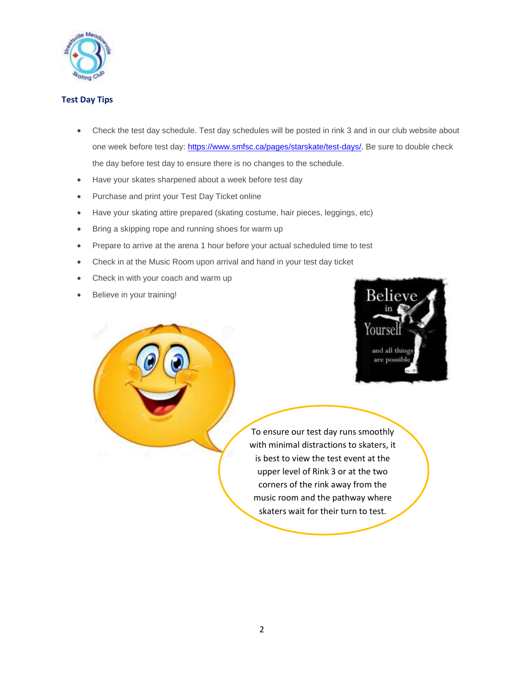

### **Test Day Tips**

- Check the test day schedule. Test day schedules will be posted in rink 3 and in our club website about one week before test day: [https://www.smfsc.ca/pages/starskate/test-days/.](https://www.smfsc.ca/pages/starskate/test-days/) Be sure to double check the day before test day to ensure there is no changes to the schedule.
- Have your skates sharpened about a week before test day
- Purchase and print your Test Day Ticket online
- Have your skating attire prepared (skating costume, hair pieces, leggings, etc)
- Bring a skipping rope and running shoes for warm up
- Prepare to arrive at the arena 1 hour before your actual scheduled time to test
- Check in at the Music Room upon arrival and hand in your test day ticket
- Check in with your coach and warm up
- Believe in your training!



To ensure our test day runs smoothly with minimal distractions to skaters, it is best to view the test event at the upper level of Rink 3 or at the two corners of the rink away from the music room and the pathway where skaters wait for their turn to test.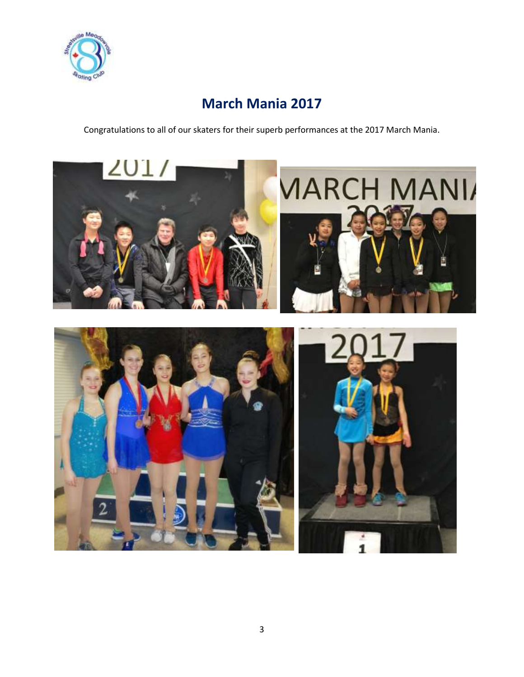

# **March Mania 2017**

Congratulations to all of our skaters for their superb performances at the 2017 March Mania.